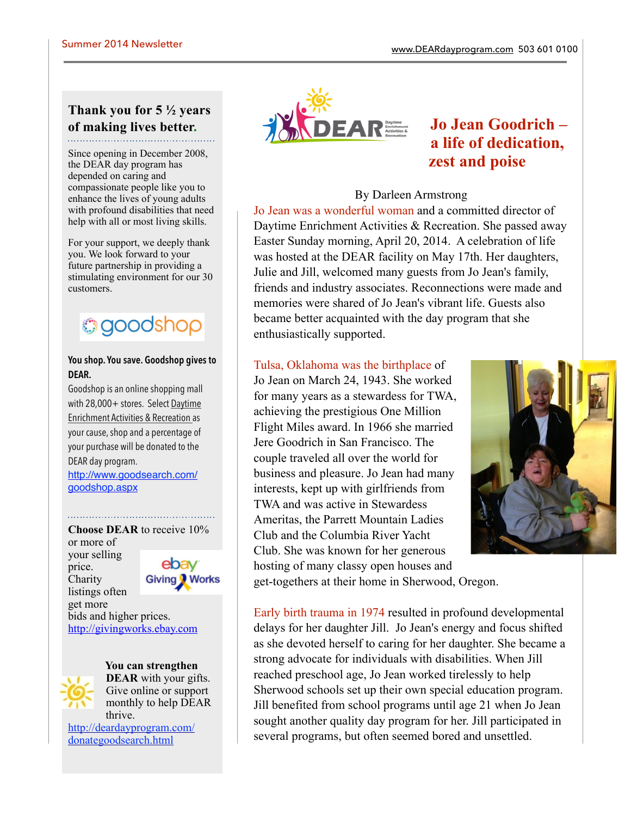# **Thank you for 5 ½ years of making lives better.**

Since opening in December 2008, the DEAR day program has depended on caring and compassionate people like you to enhance the lives of young adults with profound disabilities that need help with all or most living skills.

For your support, we deeply thank you. We look forward to your future partnership in providing a stimulating environment for our 30 customers.

# **goodshop**

#### **You shop. You save. Goodshop gives to DEAR.**

Goodshop is an online shopping mall with 28,000+ stores. Select Daytime Enrichment Activities & Recreation as your cause, shop and a percentage of your purchase will be donated to the DEAR day program.

[http://www.goodsearch.com/](http://www.goodsearch.com/goodshop.aspx) goodshop.aspx

**Choose DEAR** to receive 10% or more of your selling ebav price. **Charity Giving Works** listings often get more bids and higher prices. <http://givingworks.ebay.com>

> **You can strengthen DEAR** with your gifts. Give online or support monthly to help DEAR thrive.

[http://deardayprogram.com/](http://deardayprogram.com/donategoodsearch.html) donategoodsearch.html



# **Jo Jean Goodrich – a life of dedication, zest and poise**

#### By Darleen Armstrong

Jo Jean was a wonderful woman and a committed director of Daytime Enrichment Activities & Recreation. She passed away Easter Sunday morning, April 20, 2014. A celebration of life was hosted at the DEAR facility on May 17th. Her daughters, Julie and Jill, welcomed many guests from Jo Jean's family, friends and industry associates. Reconnections were made and memories were shared of Jo Jean's vibrant life. Guests also became better acquainted with the day program that she enthusiastically supported.

## Tulsa, Oklahoma was the birthplace of

Jo Jean on March 24, 1943. She worked for many years as a stewardess for TWA, achieving the prestigious One Million Flight Miles award. In 1966 she married Jere Goodrich in San Francisco. The couple traveled all over the world for business and pleasure. Jo Jean had many interests, kept up with girlfriends from TWA and was active in Stewardess Ameritas, the Parrett Mountain Ladies Club and the Columbia River Yacht Club. She was known for her generous hosting of many classy open houses and



get-togethers at their home in Sherwood, Oregon.

Early birth trauma in 1974 resulted in profound developmental delays for her daughter Jill. Jo Jean's energy and focus shifted as she devoted herself to caring for her daughter. She became a strong advocate for individuals with disabilities. When Jill reached preschool age, Jo Jean worked tirelessly to help Sherwood schools set up their own special education program. Jill benefited from school programs until age 21 when Jo Jean sought another quality day program for her. Jill participated in several programs, but often seemed bored and unsettled.